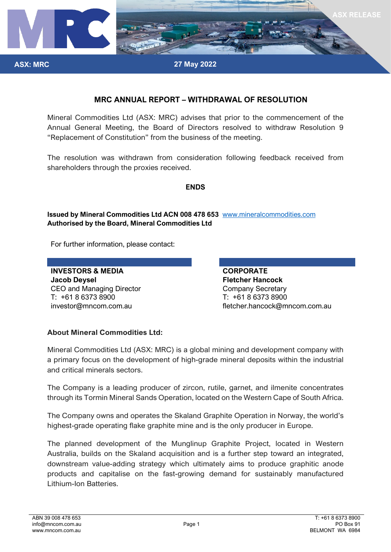

**27 May 2022**

## **MRC ANNUAL REPORT – WITHDRAWAL OF RESOLUTION**

Mineral Commodities Ltd (ASX: MRC) advises that prior to the commencement of the Annual General Meeting, the Board of Directors resolved to withdraw Resolution 9 "Replacement of Constitution" from the business of the meeting.

The resolution was withdrawn from consideration following feedback received from shareholders through the proxies received.

## **ENDS**

## **Issued by Mineral Commodities Ltd ACN 008 478 653** [www.mineralcommodities.com](http://www.mineralcommodities.com/) **Authorised by the Board, Mineral Commodities Ltd**

For further information, please contact:

**INVESTORS & MEDIA CORPORATE Jacob Deysel Fletcher Hancock** CEO and Managing Director CEO and Managing Director T: +61 8 6373 8900 T: +61 8 6373 8900

**ASX: MRC**

investor@mncom.com.au fletcher.hancock@mncom.com.au

## **About Mineral Commodities Ltd:**

Mineral Commodities Ltd (ASX: MRC) is a global mining and development company with a primary focus on the development of high-grade mineral deposits within the industrial and critical minerals sectors.

The Company is a leading producer of zircon, rutile, garnet, and ilmenite concentrates through its Tormin Mineral Sands Operation, located on the Western Cape of South Africa.

The Company owns and operates the Skaland Graphite Operation in Norway, the world's highest-grade operating flake graphite mine and is the only producer in Europe.

The planned development of the Munglinup Graphite Project, located in Western Australia, builds on the Skaland acquisition and is a further step toward an integrated, downstream value-adding strategy which ultimately aims to produce graphitic anode products and capitalise on the fast-growing demand for sustainably manufactured Lithium-Ion Batteries.